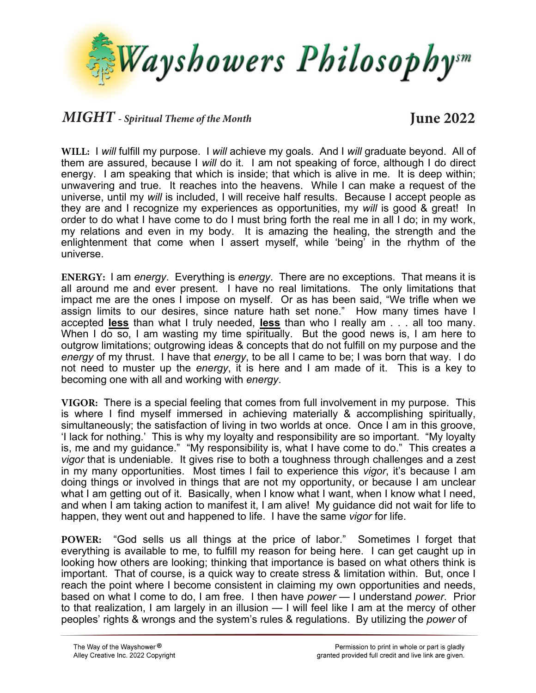

## *MIGHT - Spiritual Theme of the Month* **June 2022**

**WILL:** I *will* fulfill my purpose. I *will* achieve my goals. And I *will* graduate beyond. All of them are assured, because I *will* do it. I am not speaking of force, although I do direct energy. I am speaking that which is inside; that which is alive in me. It is deep within; unwavering and true. It reaches into the heavens. While I can make a request of the universe, until my *will* is included, I will receive half results. Because I accept people as they are and I recognize my experiences as opportunities, my *will* is good & great! In order to do what I have come to do I must bring forth the real me in all I do; in my work, my relations and even in my body. It is amazing the healing, the strength and the enlightenment that come when I assert myself, while 'being' in the rhythm of the universe.

**ENERGY:** I am *energy*. Everything is *energy*. There are no exceptions. That means it is all around me and ever present. I have no real limitations. The only limitations that impact me are the ones I impose on myself. Or as has been said, "We trifle when we assign limits to our desires, since nature hath set none." How many times have I accepted **less** than what I truly needed, **less** than who I really am . . . all too many. When I do so, I am wasting my time spiritually. But the good news is, I am here to outgrow limitations; outgrowing ideas & concepts that do not fulfill on my purpose and the *energy* of my thrust. I have that *energy*, to be all I came to be; I was born that way. I do not need to muster up the *energy*, it is here and I am made of it. This is a key to becoming one with all and working with *energy*.

**VIGOR:** There is a special feeling that comes from full involvement in my purpose. This is where I find myself immersed in achieving materially & accomplishing spiritually, simultaneously; the satisfaction of living in two worlds at once. Once I am in this groove, 'I lack for nothing.' This is why my loyalty and responsibility are so important. "My loyalty is, me and my guidance." "My responsibility is, what I have come to do." This creates a *vigor* that is undeniable. It gives rise to both a toughness through challenges and a zest in my many opportunities. Most times I fail to experience this *vigor*, it's because I am doing things or involved in things that are not my opportunity, or because I am unclear what I am getting out of it. Basically, when I know what I want, when I know what I need, and when I am taking action to manifest it, I am alive! My guidance did not wait for life to happen, they went out and happened to life. I have the same *vigor* for life.

**POWER:** "God sells us all things at the price of labor." Sometimes I forget that everything is available to me, to fulfill my reason for being here. I can get caught up in looking how others are looking; thinking that importance is based on what others think is important. That of course, is a quick way to create stress & limitation within. But, once I reach the point where I become consistent in claiming my own opportunities and needs, based on what I come to do, I am free. I then have *power* — I understand *power*. Prior to that realization, I am largely in an illusion — I will feel like I am at the mercy of other peoples' rights & wrongs and the system's rules & regulations. By utilizing the *power* of